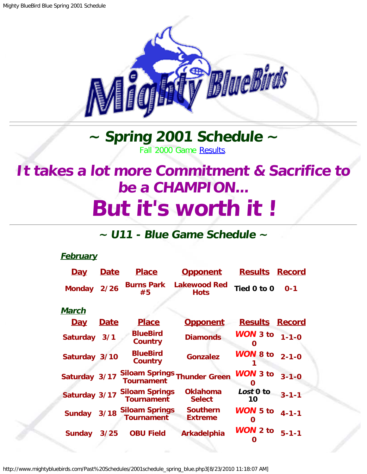

## **~ Spring 2001 Schedule ~** Fall 2000 Game [Results.](http://www.mightybluebirds.com/Past%20Schedules/2000schedule_fall_blue.php3)

## <span id="page-0-0"></span>**It takes a lot more Commitment & Sacrifice to be a CHAMPION... But it's worth it !**

## **~ U11 - Blue Game Schedule ~**

## **February**

| <u>Day</u>      | <b>Date</b> | <b>Place</b>                                      | <u>Opponent</u>                    | <b>Results Record</b>   |               |
|-----------------|-------------|---------------------------------------------------|------------------------------------|-------------------------|---------------|
| <b>Monday</b>   | 2/26        | <b>Burns Park</b><br>#5                           | <b>Lakewood Red</b><br><b>Hots</b> | Tied 0 to 0             | $0 - 1$       |
| <u>March</u>    |             |                                                   |                                    |                         |               |
| <u>Day</u>      | <u>Date</u> | <b>Place</b>                                      | <b>Opponent</b>                    | <b>Results</b>          | <b>Record</b> |
| <b>Saturday</b> | 3/1         | <b>BlueBird</b><br><b>Country</b>                 | <b>Diamonds</b>                    | <b>WON</b> 3 to $1-1-0$ |               |
| Saturday 3/10   |             | <b>BlueBird</b><br>Country                        | <b>Gonzalez</b>                    | <b>WON 8 to</b>         | $2 - 1 - 0$   |
| Saturday 3/17   |             | Siloam Springs Thunder Green<br><b>Tournament</b> |                                    | WON 3 to<br>O           | $3 - 1 - 0$   |
| Saturday 3/17   |             | <b>Siloam Springs</b><br><b>Tournament</b>        | <b>Oklahoma</b><br><b>Select</b>   | Lost 0 to<br>10         | $3 - 1 - 1$   |
| Sunday 3/18     |             | <b>Siloam Springs</b><br><b>Tournament</b>        | <b>Southern</b><br><b>Extreme</b>  | WON 5 to<br>O           | $4 - 1 - 1$   |
| <b>Sunday</b>   | 3/25        | <b>OBU Field</b>                                  | <b>Arkadelphia</b>                 | <b>WON 2 to</b>         | $5 - 1 - 1$   |

http://www.mightybluebirds.com/Past%20Schedules/2001schedule\_spring\_blue.php3[8/23/2010 11:18:07 AM]